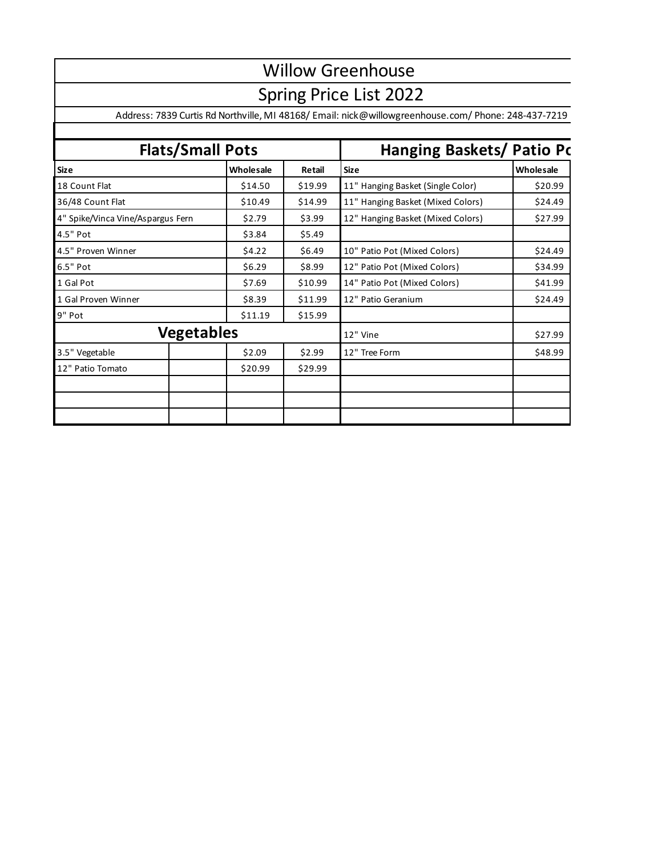## Willow Greenhouse

## Spring Price List 2022

Address: 7839 Curtis Rd Northville, MI 48168/ Email: nick@willowgreenhouse.com/ Phone: 248-437-7219

| <b>Flats/Small Pots</b>           |                   |         | Hanging Baskets/ Patio Pc         |           |  |
|-----------------------------------|-------------------|---------|-----------------------------------|-----------|--|
| <b>Size</b>                       | Wholesale         | Retail  | <b>Size</b>                       | Wholesale |  |
| 18 Count Flat                     | \$14.50           | \$19.99 | 11" Hanging Basket (Single Color) | \$20.99   |  |
| 36/48 Count Flat                  | \$10.49           | \$14.99 | 11" Hanging Basket (Mixed Colors) | \$24.49   |  |
| 4" Spike/Vinca Vine/Aspargus Fern | \$2.79            | \$3.99  | 12" Hanging Basket (Mixed Colors) | \$27.99   |  |
| 4.5" Pot                          | \$3.84            | \$5.49  |                                   |           |  |
| 4.5" Proven Winner                | \$4.22            | \$6.49  | 10" Patio Pot (Mixed Colors)      | \$24.49   |  |
| 6.5" Pot                          | \$6.29            | \$8.99  | 12" Patio Pot (Mixed Colors)      | \$34.99   |  |
| 1 Gal Pot                         | \$7.69            | \$10.99 | 14" Patio Pot (Mixed Colors)      | \$41.99   |  |
| 1 Gal Proven Winner               | \$8.39            | \$11.99 | 12" Patio Geranium                | \$24.49   |  |
| 9" Pot                            | \$11.19           | \$15.99 |                                   |           |  |
|                                   | <b>Vegetables</b> |         | 12" Vine                          | \$27.99   |  |
| 3.5" Vegetable                    | \$2.09            | \$2.99  | 12" Tree Form                     | \$48.99   |  |
| 12" Patio Tomato                  | \$20.99           | \$29.99 |                                   |           |  |
|                                   |                   |         |                                   |           |  |
|                                   |                   |         |                                   |           |  |
|                                   |                   |         |                                   |           |  |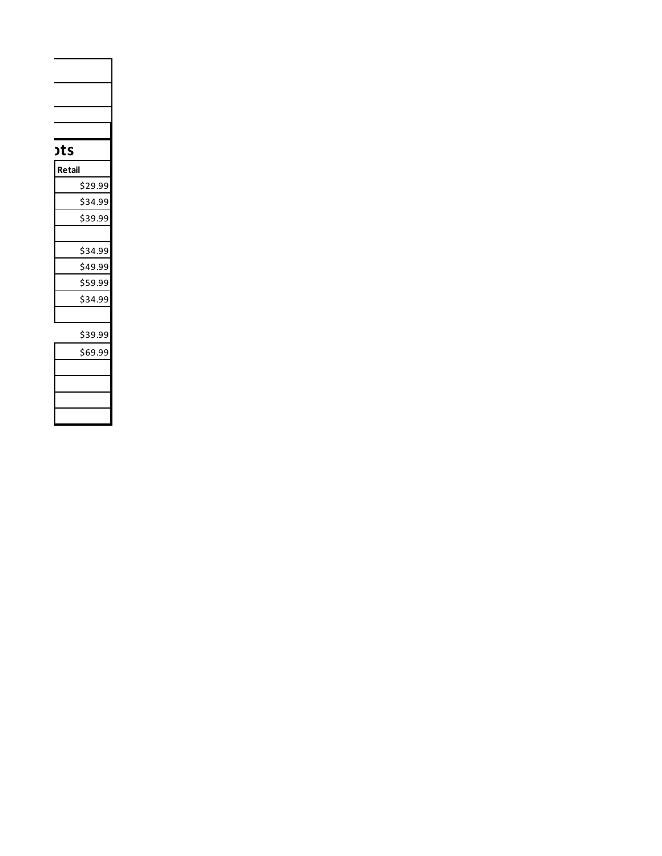| <b>ots</b> |  |
|------------|--|
| Retail     |  |
| \$29.99    |  |
| \$34.99    |  |
| \$39.99    |  |
|            |  |
| \$34.99    |  |
| \$49.99    |  |
| \$59.99    |  |
| \$34.99    |  |
|            |  |
|            |  |
| \$39.99    |  |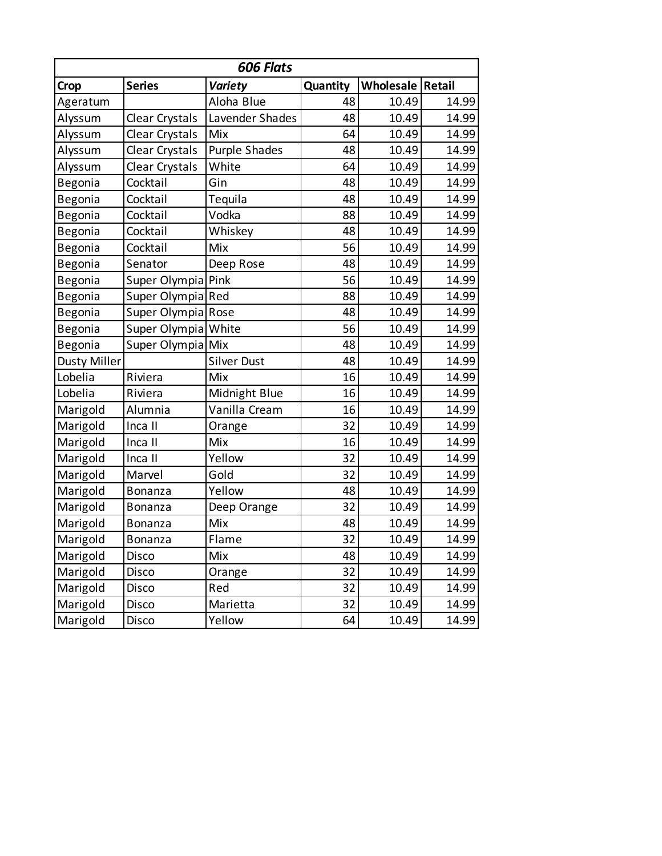|                     | 606 Flats           |                      |          |                    |       |  |
|---------------------|---------------------|----------------------|----------|--------------------|-------|--|
| Crop                | <b>Series</b>       | <b>Variety</b>       | Quantity | Wholesale   Retail |       |  |
| Ageratum            |                     | Aloha Blue           | 48       | 10.49              | 14.99 |  |
| Alyssum             | Clear Crystals      | Lavender Shades      | 48       | 10.49              | 14.99 |  |
| Alyssum             | Clear Crystals      | Mix                  | 64       | 10.49              | 14.99 |  |
| Alyssum             | Clear Crystals      | <b>Purple Shades</b> | 48       | 10.49              | 14.99 |  |
| Alyssum             | Clear Crystals      | White                | 64       | 10.49              | 14.99 |  |
| Begonia             | Cocktail            | Gin                  | 48       | 10.49              | 14.99 |  |
| Begonia             | Cocktail            | Tequila              | 48       | 10.49              | 14.99 |  |
| Begonia             | Cocktail            | Vodka                | 88       | 10.49              | 14.99 |  |
| Begonia             | Cocktail            | Whiskey              | 48       | 10.49              | 14.99 |  |
| Begonia             | Cocktail            | Mix                  | 56       | 10.49              | 14.99 |  |
| Begonia             | Senator             | Deep Rose            | 48       | 10.49              | 14.99 |  |
| Begonia             | Super Olympia Pink  |                      | 56       | 10.49              | 14.99 |  |
| Begonia             | Super Olympia Red   |                      | 88       | 10.49              | 14.99 |  |
| Begonia             | Super Olympia Rose  |                      | 48       | 10.49              | 14.99 |  |
| Begonia             | Super Olympia White |                      | 56       | 10.49              | 14.99 |  |
| Begonia             | Super Olympia Mix   |                      | 48       | 10.49              | 14.99 |  |
| <b>Dusty Miller</b> |                     | <b>Silver Dust</b>   | 48       | 10.49              | 14.99 |  |
| Lobelia             | Riviera             | Mix                  | 16       | 10.49              | 14.99 |  |
| Lobelia             | Riviera             | Midnight Blue        | 16       | 10.49              | 14.99 |  |
| Marigold            | Alumnia             | Vanilla Cream        | 16       | 10.49              | 14.99 |  |
| Marigold            | Inca II             | Orange               | 32       | 10.49              | 14.99 |  |
| Marigold            | Inca II             | Mix                  | 16       | 10.49              | 14.99 |  |
| Marigold            | Inca II             | Yellow               | 32       | 10.49              | 14.99 |  |
| Marigold            | Marvel              | Gold                 | 32       | 10.49              | 14.99 |  |
| Marigold            | Bonanza             | Yellow               | 48       | 10.49              | 14.99 |  |
| Marigold            | <b>Bonanza</b>      | Deep Orange          | 32       | 10.49              | 14.99 |  |
| Marigold            | Bonanza             | Mix                  | 48       | 10.49              | 14.99 |  |
| Marigold            | <b>Bonanza</b>      | Flame                | 32       | 10.49              | 14.99 |  |
| Marigold            | Disco               | Mix                  | 48       | 10.49              | 14.99 |  |
| Marigold            | Disco               | Orange               | 32       | 10.49              | 14.99 |  |
| Marigold            | Disco               | Red                  | 32       | 10.49              | 14.99 |  |
| Marigold            | Disco               | Marietta             | 32       | 10.49              | 14.99 |  |
| Marigold            | Disco               | Yellow               | 64       | 10.49              | 14.99 |  |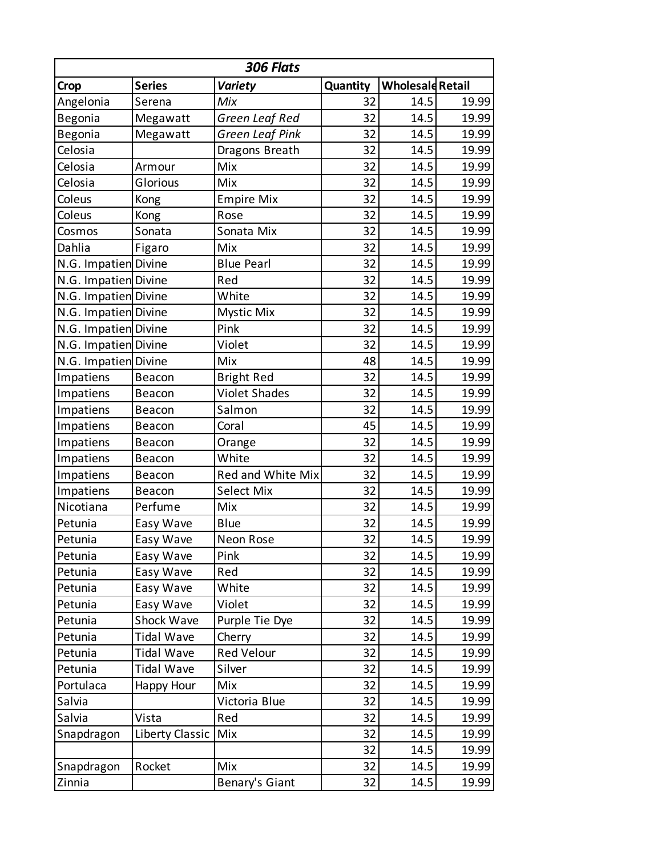| 306 Flats            |                 |                      |          |                         |       |  |
|----------------------|-----------------|----------------------|----------|-------------------------|-------|--|
| Crop                 | <b>Series</b>   | <b>Variety</b>       | Quantity | <b>Wholesald Retail</b> |       |  |
| Angelonia            | Serena          | Mix                  | 32       | 14.5                    | 19.99 |  |
| Begonia              | Megawatt        | Green Leaf Red       | 32       | 14.5                    | 19.99 |  |
| Begonia              | Megawatt        | Green Leaf Pink      | 32       | 14.5                    | 19.99 |  |
| Celosia              |                 | Dragons Breath       | 32       | 14.5                    | 19.99 |  |
| Celosia              | Armour          | Mix                  | 32       | 14.5                    | 19.99 |  |
| Celosia              | Glorious        | Mix                  | 32       | 14.5                    | 19.99 |  |
| Coleus               | Kong            | <b>Empire Mix</b>    | 32       | 14.5                    | 19.99 |  |
| Coleus               | Kong            | Rose                 | 32       | 14.5                    | 19.99 |  |
| Cosmos               | Sonata          | Sonata Mix           | 32       | 14.5                    | 19.99 |  |
| Dahlia               | Figaro          | Mix                  | 32       | 14.5                    | 19.99 |  |
| N.G. Impatien Divine |                 | <b>Blue Pearl</b>    | 32       | 14.5                    | 19.99 |  |
| N.G. Impatien Divine |                 | Red                  | 32       | 14.5                    | 19.99 |  |
| N.G. Impatien Divine |                 | White                | 32       | 14.5                    | 19.99 |  |
| N.G. Impatien Divine |                 | <b>Mystic Mix</b>    | 32       | 14.5                    | 19.99 |  |
| N.G. Impatien Divine |                 | Pink                 | 32       | 14.5                    | 19.99 |  |
| N.G. Impatien Divine |                 | Violet               | 32       | 14.5                    | 19.99 |  |
| N.G. Impatien Divine |                 | Mix                  | 48       | 14.5                    | 19.99 |  |
| Impatiens            | Beacon          | <b>Bright Red</b>    | 32       | 14.5                    | 19.99 |  |
| Impatiens            | Beacon          | <b>Violet Shades</b> | 32       | 14.5                    | 19.99 |  |
| Impatiens            | Beacon          | Salmon               | 32       | 14.5                    | 19.99 |  |
| Impatiens            | Beacon          | Coral                | 45       | 14.5                    | 19.99 |  |
| Impatiens            | Beacon          | Orange               | 32       | 14.5                    | 19.99 |  |
| Impatiens            | Beacon          | White                | 32       | 14.5                    | 19.99 |  |
| Impatiens            | Beacon          | Red and White Mix    | 32       | 14.5                    | 19.99 |  |
| Impatiens            | Beacon          | Select Mix           | 32       | 14.5                    | 19.99 |  |
| Nicotiana            | Perfume         | Mix                  | 32       | 14.5                    | 19.99 |  |
| Petunia              | Easy Wave       | <b>Blue</b>          | 32       | 14.5                    | 19.99 |  |
| Petunia              | Easy Wave       | Neon Rose            | 32       | 14.5                    | 19.99 |  |
| Petunia              | Easy Wave       | Pink                 | 32       | 14.5                    | 19.99 |  |
| Petunia              | Easy Wave       | Red                  | 32       | 14.5                    | 19.99 |  |
| Petunia              | Easy Wave       | White                | 32       | 14.5                    | 19.99 |  |
| Petunia              | Easy Wave       | Violet               | 32       | 14.5                    | 19.99 |  |
| Petunia              | Shock Wave      | Purple Tie Dye       | 32       | 14.5                    | 19.99 |  |
| Petunia              | Tidal Wave      | Cherry               | 32       | 14.5                    | 19.99 |  |
| Petunia              | Tidal Wave      | Red Velour           | 32       | 14.5                    | 19.99 |  |
| Petunia              | Tidal Wave      | Silver               | 32       | 14.5                    | 19.99 |  |
| Portulaca            | Happy Hour      | Mix                  | 32       | 14.5                    | 19.99 |  |
| Salvia               |                 | Victoria Blue        | 32       | 14.5                    | 19.99 |  |
| Salvia               | Vista           | Red                  | 32       | 14.5                    | 19.99 |  |
| Snapdragon           | Liberty Classic | Mix                  | 32       | 14.5                    | 19.99 |  |
|                      |                 |                      | 32       | 14.5                    | 19.99 |  |
| Snapdragon           | Rocket          | Mix                  | 32       | 14.5                    | 19.99 |  |
| Zinnia               |                 | Benary's Giant       | 32       | 14.5                    | 19.99 |  |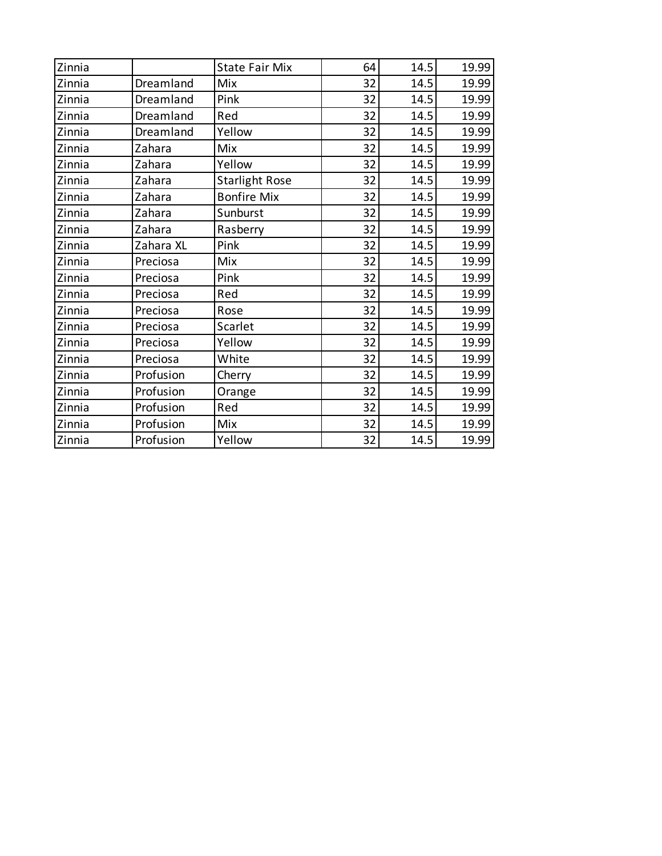| Zinnia |           | <b>State Fair Mix</b> | 64 | 14.5 | 19.99 |
|--------|-----------|-----------------------|----|------|-------|
| Zinnia | Dreamland | Mix                   | 32 | 14.5 | 19.99 |
| Zinnia | Dreamland | Pink                  | 32 | 14.5 | 19.99 |
| Zinnia | Dreamland | Red                   | 32 | 14.5 | 19.99 |
| Zinnia | Dreamland | Yellow                | 32 | 14.5 | 19.99 |
| Zinnia | Zahara    | Mix                   | 32 | 14.5 | 19.99 |
| Zinnia | Zahara    | Yellow                | 32 | 14.5 | 19.99 |
| Zinnia | Zahara    | <b>Starlight Rose</b> | 32 | 14.5 | 19.99 |
| Zinnia | Zahara    | <b>Bonfire Mix</b>    | 32 | 14.5 | 19.99 |
| Zinnia | Zahara    | Sunburst              | 32 | 14.5 | 19.99 |
| Zinnia | Zahara    | Rasberry              | 32 | 14.5 | 19.99 |
| Zinnia | Zahara XL | Pink                  | 32 | 14.5 | 19.99 |
| Zinnia | Preciosa  | Mix                   | 32 | 14.5 | 19.99 |
| Zinnia | Preciosa  | Pink                  | 32 | 14.5 | 19.99 |
| Zinnia | Preciosa  | Red                   | 32 | 14.5 | 19.99 |
| Zinnia | Preciosa  | Rose                  | 32 | 14.5 | 19.99 |
| Zinnia | Preciosa  | Scarlet               | 32 | 14.5 | 19.99 |
| Zinnia | Preciosa  | Yellow                | 32 | 14.5 | 19.99 |
| Zinnia | Preciosa  | White                 | 32 | 14.5 | 19.99 |
| Zinnia | Profusion | Cherry                | 32 | 14.5 | 19.99 |
| Zinnia | Profusion | Orange                | 32 | 14.5 | 19.99 |
| Zinnia | Profusion | Red                   | 32 | 14.5 | 19.99 |
| Zinnia | Profusion | Mix                   | 32 | 14.5 | 19.99 |
| Zinnia | Profusion | Yellow                | 32 | 14.5 | 19.99 |
|        |           |                       |    |      |       |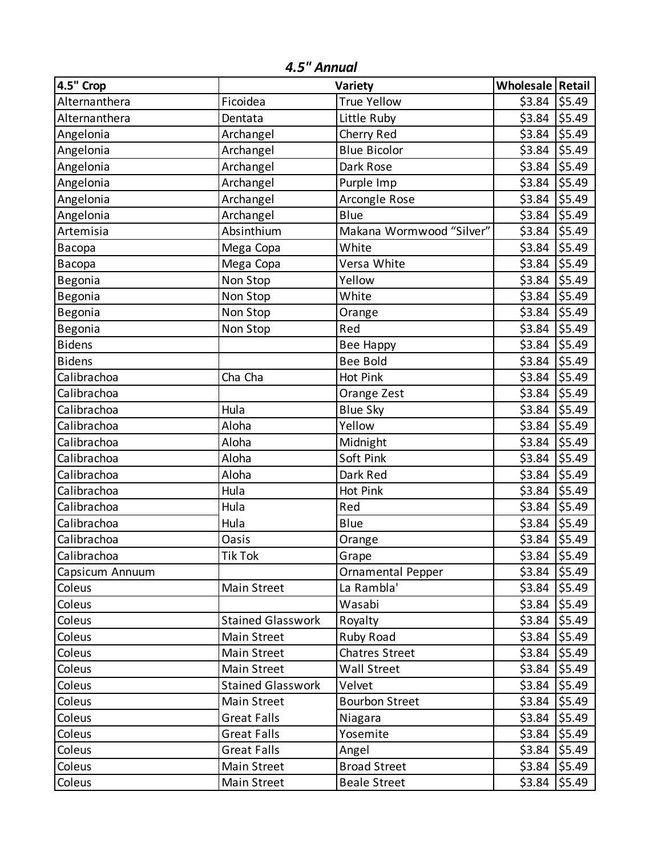| 4.5" Crop       |                          | Variety                  | Wholesale Retail |        |
|-----------------|--------------------------|--------------------------|------------------|--------|
| Alternanthera   | Ficoidea                 | <b>True Yellow</b>       | \$3.84           | \$5.49 |
| Alternanthera   | Dentata                  | Little Ruby              | \$3.84           | \$5.49 |
| Angelonia       | Archangel                | Cherry Red               | \$3.84           | \$5.49 |
| Angelonia       | Archangel                | <b>Blue Bicolor</b>      | \$3.84           | \$5.49 |
| Angelonia       | Archangel                | Dark Rose                | \$3.84           | \$5.49 |
| Angelonia       | Archangel                | Purple Imp               | \$3.84           | \$5.49 |
| Angelonia       | Archangel                | Arcongle Rose            | \$3.84           | \$5.49 |
| Angelonia       | Archangel                | Blue                     |                  | \$5.49 |
| Artemisia       | Absinthium               | Makana Wormwood "Silver" | \$3.84           | \$5.49 |
| Васора          | Mega Copa                | White                    | \$3.84           | \$5.49 |
| Bacopa          | Mega Copa                | Versa White              | \$3.84           | \$5.49 |
| Begonia         | Non Stop                 | Yellow                   | \$3.84           | \$5.49 |
| Begonia         | Non Stop                 | White                    | \$3.84           | \$5.49 |
| Begonia         | Non Stop                 | Orange                   | \$3.84           | \$5.49 |
| Begonia         | Non Stop                 | Red                      | \$3.84           | \$5.49 |
| <b>Bidens</b>   |                          | Bee Happy                | \$3.84           | \$5.49 |
| <b>Bidens</b>   |                          | <b>Bee Bold</b>          | \$3.84           | \$5.49 |
| Calibrachoa     | Cha Cha                  | Hot Pink                 | \$3.84           | \$5.49 |
| Calibrachoa     |                          | Orange Zest              | \$3.84           | \$5.49 |
| Calibrachoa     | Hula                     | <b>Blue Sky</b>          | \$3.84           | \$5.49 |
| Calibrachoa     | Aloha                    | Yellow                   | \$3.84           | \$5.49 |
| Calibrachoa     | Aloha                    | Midnight                 | \$3.84           | \$5.49 |
| Calibrachoa     | Aloha                    | Soft Pink                | \$3.84           | \$5.49 |
| Calibrachoa     | Aloha                    | Dark Red                 | \$3.84           | \$5.49 |
| Calibrachoa     | Hula                     | Hot Pink                 | \$3.84           | \$5.49 |
| Calibrachoa     | Hula                     | Red                      | \$3.84           | \$5.49 |
| Calibrachoa     | Hula                     | Blue                     | \$3.84           | \$5.49 |
| Calibrachoa     | Oasis                    | Orange                   | \$3.84           | \$5.49 |
| Calibrachoa     | <b>Tik Tok</b>           | Grape                    | \$3.84           | \$5.49 |
| Capsicum Annuum |                          | Ornamental Pepper        | \$3.84           | \$5.49 |
| Coleus          | <b>Main Street</b>       | La Rambla'               | \$3.84           | \$5.49 |
| Coleus          |                          | Wasabi                   | \$3.84           | \$5.49 |
| Coleus          | <b>Stained Glasswork</b> | Royalty                  | \$3.84           | \$5.49 |
| Coleus          | Main Street              | Ruby Road                | \$3.84           | \$5.49 |
| Coleus          | <b>Main Street</b>       | <b>Chatres Street</b>    | \$3.84           | \$5.49 |
| Coleus          | <b>Main Street</b>       | Wall Street              | \$3.84           | \$5.49 |
| Coleus          | <b>Stained Glasswork</b> | Velvet                   | \$3.84           | \$5.49 |
| Coleus          | Main Street              | <b>Bourbon Street</b>    | \$3.84           | \$5.49 |
| Coleus          | <b>Great Falls</b>       | Niagara                  | \$3.84           | \$5.49 |
| Coleus          | <b>Great Falls</b>       | Yosemite                 | \$3.84           | \$5.49 |
| Coleus          | <b>Great Falls</b>       | Angel                    | \$3.84           | \$5.49 |
| Coleus          | Main Street              | <b>Broad Street</b>      | \$3.84           | \$5.49 |
| Coleus          | Main Street              | <b>Beale Street</b>      | \$3.84           | \$5.49 |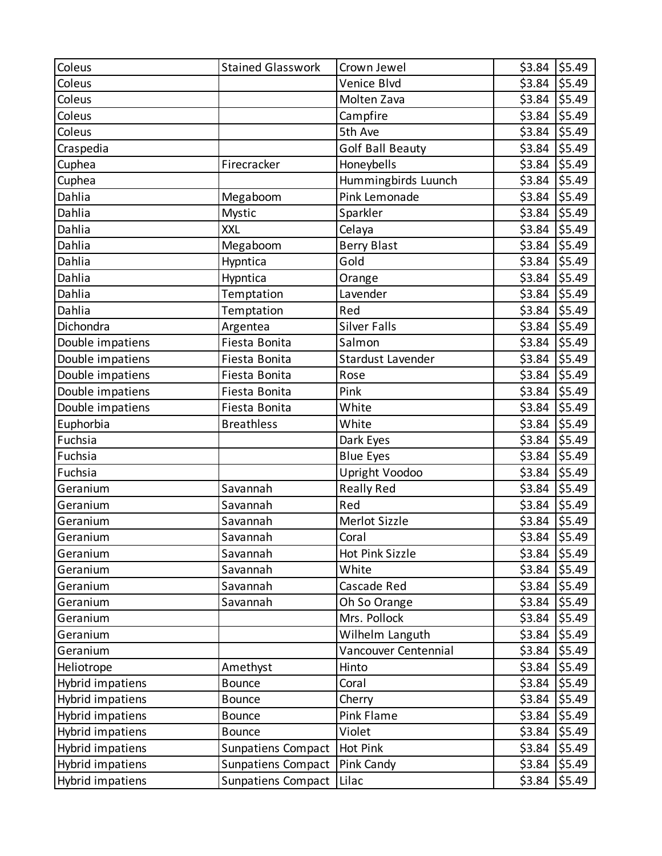| Coleus           | <b>Stained Glasswork</b>  | Crown Jewel             | \$3.84 | \$5.49 |
|------------------|---------------------------|-------------------------|--------|--------|
| Coleus           |                           | Venice Blvd             | \$3.84 | \$5.49 |
| Coleus           |                           | Molten Zava             | \$3.84 | \$5.49 |
| Coleus           |                           | Campfire                | \$3.84 | \$5.49 |
| Coleus           |                           | 5th Ave                 | \$3.84 | \$5.49 |
| Craspedia        |                           | <b>Golf Ball Beauty</b> | \$3.84 | \$5.49 |
| Cuphea           | Firecracker               | Honeybells              | \$3.84 | \$5.49 |
| Cuphea           |                           | Hummingbirds Luunch     | \$3.84 | \$5.49 |
| Dahlia           | Megaboom                  | Pink Lemonade           | \$3.84 | \$5.49 |
| Dahlia           | Mystic                    | Sparkler                | \$3.84 | \$5.49 |
| Dahlia           | <b>XXL</b>                | Celaya                  | \$3.84 | \$5.49 |
| Dahlia           | Megaboom                  | <b>Berry Blast</b>      | \$3.84 | \$5.49 |
| Dahlia           | Hypntica                  | Gold                    | \$3.84 | \$5.49 |
| Dahlia           | Hypntica                  | Orange                  | \$3.84 | \$5.49 |
| Dahlia           | Temptation                | Lavender                | \$3.84 | \$5.49 |
| Dahlia           | Temptation                | Red                     | \$3.84 | \$5.49 |
| Dichondra        | Argentea                  | <b>Silver Falls</b>     | \$3.84 | \$5.49 |
| Double impatiens | Fiesta Bonita             | Salmon                  | \$3.84 | \$5.49 |
| Double impatiens | Fiesta Bonita             | Stardust Lavender       | \$3.84 | \$5.49 |
| Double impatiens | Fiesta Bonita             | Rose                    | \$3.84 | \$5.49 |
| Double impatiens | Fiesta Bonita             | Pink                    | \$3.84 | \$5.49 |
| Double impatiens | Fiesta Bonita             | White                   | \$3.84 | \$5.49 |
| Euphorbia        | <b>Breathless</b>         | White                   | \$3.84 | \$5.49 |
| Fuchsia          |                           | Dark Eyes               | \$3.84 | \$5.49 |
| Fuchsia          |                           | <b>Blue Eyes</b>        | \$3.84 | \$5.49 |
| Fuchsia          |                           | Upright Voodoo          | \$3.84 | \$5.49 |
| Geranium         | Savannah                  | <b>Really Red</b>       | \$3.84 | \$5.49 |
| Geranium         | Savannah                  | Red                     | \$3.84 | \$5.49 |
| Geranium         | Savannah                  | Merlot Sizzle           | \$3.84 | \$5.49 |
| Geranium         | Savannah                  | Coral                   | \$3.84 | \$5.49 |
| Geranium         | Savannah                  | Hot Pink Sizzle         | \$3.84 | \$5.49 |
| Geranium         | Savannah                  | White                   | \$3.84 | \$5.49 |
| Geranium         | Savannah                  | Cascade Red             | \$3.84 | \$5.49 |
| Geranium         | Savannah                  | Oh So Orange            | \$3.84 | \$5.49 |
| Geranium         |                           | Mrs. Pollock            | \$3.84 | \$5.49 |
| Geranium         |                           | Wilhelm Languth         | \$3.84 | \$5.49 |
| Geranium         |                           | Vancouver Centennial    | \$3.84 | \$5.49 |
| Heliotrope       | Amethyst                  | Hinto                   | \$3.84 | \$5.49 |
| Hybrid impatiens | <b>Bounce</b>             | Coral                   | \$3.84 | \$5.49 |
| Hybrid impatiens | <b>Bounce</b>             | Cherry                  | \$3.84 | \$5.49 |
| Hybrid impatiens | <b>Bounce</b>             | Pink Flame              | \$3.84 | \$5.49 |
| Hybrid impatiens | <b>Bounce</b>             | Violet                  | \$3.84 | \$5.49 |
| Hybrid impatiens | Sunpatiens Compact        | Hot Pink                | \$3.84 | \$5.49 |
| Hybrid impatiens | <b>Sunpatiens Compact</b> | Pink Candy              | \$3.84 | \$5.49 |
| Hybrid impatiens | <b>Sunpatiens Compact</b> | Lilac                   | \$3.84 | \$5.49 |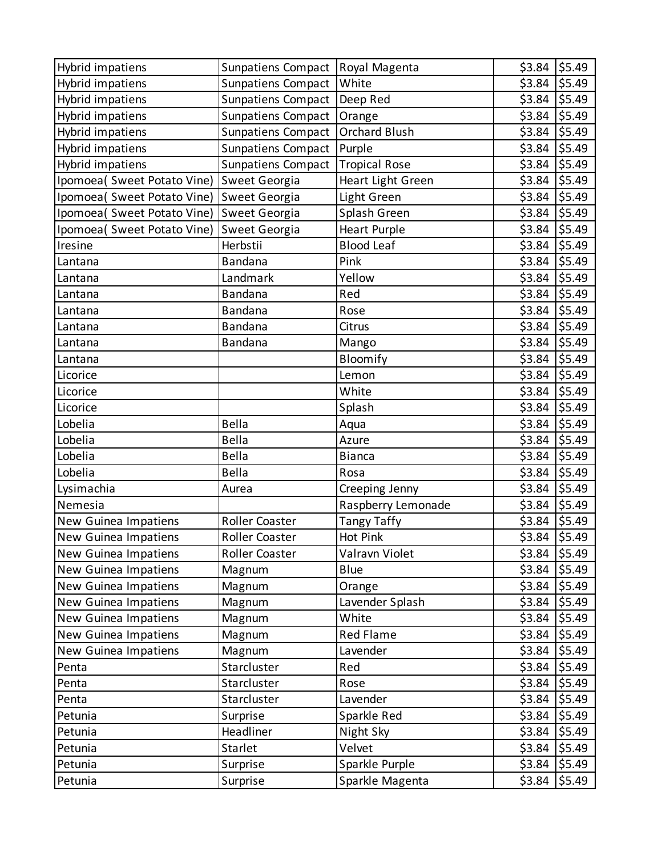| Hybrid impatiens            | Sunpatiens Compact        | Royal Magenta        | \$3.84 | \$5.49 |
|-----------------------------|---------------------------|----------------------|--------|--------|
| Hybrid impatiens            | <b>Sunpatiens Compact</b> | White                | \$3.84 | \$5.49 |
| Hybrid impatiens            | <b>Sunpatiens Compact</b> | Deep Red             | \$3.84 | \$5.49 |
| Hybrid impatiens            | Sunpatiens Compact        | Orange               | \$3.84 | \$5.49 |
| Hybrid impatiens            | Sunpatiens Compact        | <b>Orchard Blush</b> | \$3.84 | \$5.49 |
| Hybrid impatiens            | <b>Sunpatiens Compact</b> | Purple               | \$3.84 | \$5.49 |
| Hybrid impatiens            | Sunpatiens Compact        | <b>Tropical Rose</b> | \$3.84 | \$5.49 |
| Ipomoea( Sweet Potato Vine) | Sweet Georgia             | Heart Light Green    | \$3.84 | \$5.49 |
| Ipomoea( Sweet Potato Vine) | Sweet Georgia             | Light Green          | \$3.84 | \$5.49 |
| Ipomoea( Sweet Potato Vine) | Sweet Georgia             | Splash Green         | \$3.84 | \$5.49 |
| Ipomoea( Sweet Potato Vine) | Sweet Georgia             | <b>Heart Purple</b>  | \$3.84 | \$5.49 |
| Iresine                     | Herbstii                  | <b>Blood Leaf</b>    | \$3.84 | \$5.49 |
| Lantana                     | Bandana                   | Pink                 | \$3.84 | \$5.49 |
| Lantana                     | Landmark                  | Yellow               | \$3.84 | \$5.49 |
| Lantana                     | Bandana                   | Red                  | \$3.84 | \$5.49 |
| Lantana                     | Bandana                   | Rose                 | \$3.84 | \$5.49 |
| Lantana                     | Bandana                   | Citrus               | \$3.84 | \$5.49 |
| Lantana                     | Bandana                   | Mango                | \$3.84 | \$5.49 |
| Lantana                     |                           | Bloomify             | \$3.84 | \$5.49 |
| Licorice                    |                           | Lemon                | \$3.84 | \$5.49 |
| Licorice                    |                           | White                | \$3.84 | \$5.49 |
| Licorice                    |                           | Splash               | \$3.84 | \$5.49 |
| Lobelia                     | <b>Bella</b>              | Aqua                 | \$3.84 | \$5.49 |
| Lobelia                     | <b>Bella</b>              | Azure                | \$3.84 | \$5.49 |
| Lobelia                     | <b>Bella</b>              | <b>Bianca</b>        | \$3.84 | \$5.49 |
| Lobelia                     | Bella                     | Rosa                 | \$3.84 | \$5.49 |
| Lysimachia                  | Aurea                     | Creeping Jenny       | \$3.84 | \$5.49 |
| Nemesia                     |                           | Raspberry Lemonade   | \$3.84 | \$5.49 |
| New Guinea Impatiens        | <b>Roller Coaster</b>     | <b>Tangy Taffy</b>   | \$3.84 | \$5.49 |
| New Guinea Impatiens        | Roller Coaster            | <b>Hot Pink</b>      | \$3.84 | \$5.49 |
| New Guinea Impatiens        | Roller Coaster            | Valravn Violet       | \$3.84 | \$5.49 |
| New Guinea Impatiens        | Magnum                    | Blue                 | \$3.84 | \$5.49 |
| New Guinea Impatiens        | Magnum                    | Orange               | \$3.84 | \$5.49 |
| New Guinea Impatiens        | Magnum                    | Lavender Splash      | \$3.84 | \$5.49 |
| New Guinea Impatiens        | Magnum                    | White                | \$3.84 | \$5.49 |
| New Guinea Impatiens        | Magnum                    | <b>Red Flame</b>     | \$3.84 | \$5.49 |
| New Guinea Impatiens        | Magnum                    | Lavender             | \$3.84 | \$5.49 |
| Penta                       | Starcluster               | Red                  | \$3.84 | \$5.49 |
| Penta                       | Starcluster               | Rose                 | \$3.84 | \$5.49 |
| Penta                       | Starcluster               | Lavender             | \$3.84 | \$5.49 |
| Petunia                     | Surprise                  | Sparkle Red          | \$3.84 | \$5.49 |
| Petunia                     | Headliner                 | Night Sky            | \$3.84 | \$5.49 |
| Petunia                     | Starlet                   | Velvet               | \$3.84 | \$5.49 |
| Petunia                     | Surprise                  | Sparkle Purple       | \$3.84 | \$5.49 |
| Petunia                     | Surprise                  | Sparkle Magenta      | \$3.84 | \$5.49 |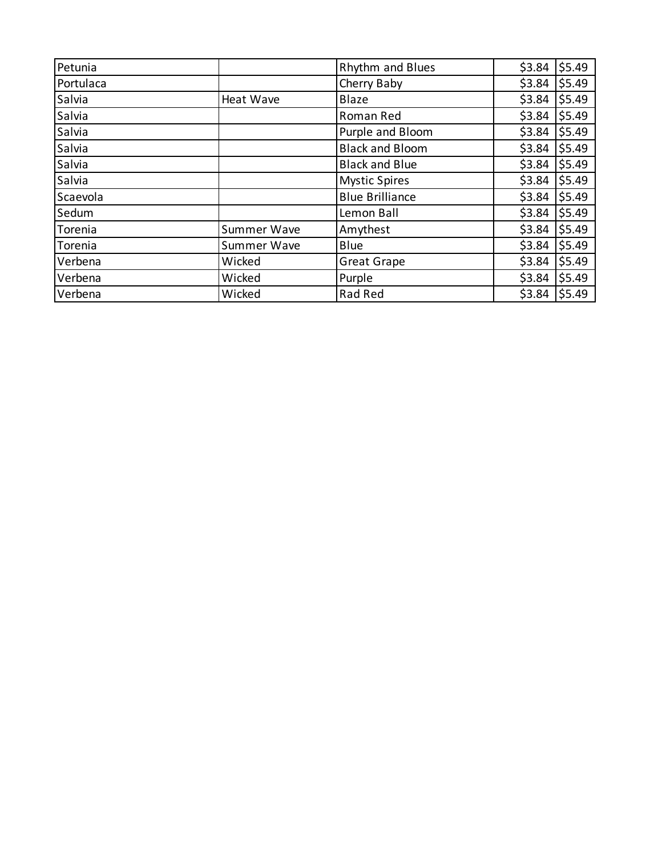| Petunia   |             | <b>Rhythm and Blues</b> | \$3.84          | \$5.49 |
|-----------|-------------|-------------------------|-----------------|--------|
| Portulaca |             | Cherry Baby             | \$3.84          | \$5.49 |
| Salvia    | Heat Wave   | Blaze                   | \$3.84          | \$5.49 |
| Salvia    |             | Roman Red               | \$3.84          | \$5.49 |
| Salvia    |             | Purple and Bloom        | \$3.84          | \$5.49 |
| Salvia    |             | <b>Black and Bloom</b>  | \$3.84          | \$5.49 |
| Salvia    |             | <b>Black and Blue</b>   | \$3.84          | \$5.49 |
| Salvia    |             | <b>Mystic Spires</b>    | \$3.84          | \$5.49 |
| Scaevola  |             | <b>Blue Brilliance</b>  | \$3.84          | \$5.49 |
| Sedum     |             | Lemon Ball              | \$3.84          | \$5.49 |
| Torenia   | Summer Wave | Amythest                | \$3.84          | \$5.49 |
| Torenia   | Summer Wave | Blue                    | \$3.84          | \$5.49 |
| Verbena   | Wicked      | <b>Great Grape</b>      | \$3.84          | \$5.49 |
| Verbena   | Wicked      | Purple                  | \$3.84          | \$5.49 |
| Verbena   | Wicked      | Rad Red                 | $$3.84$ $$5.49$ |        |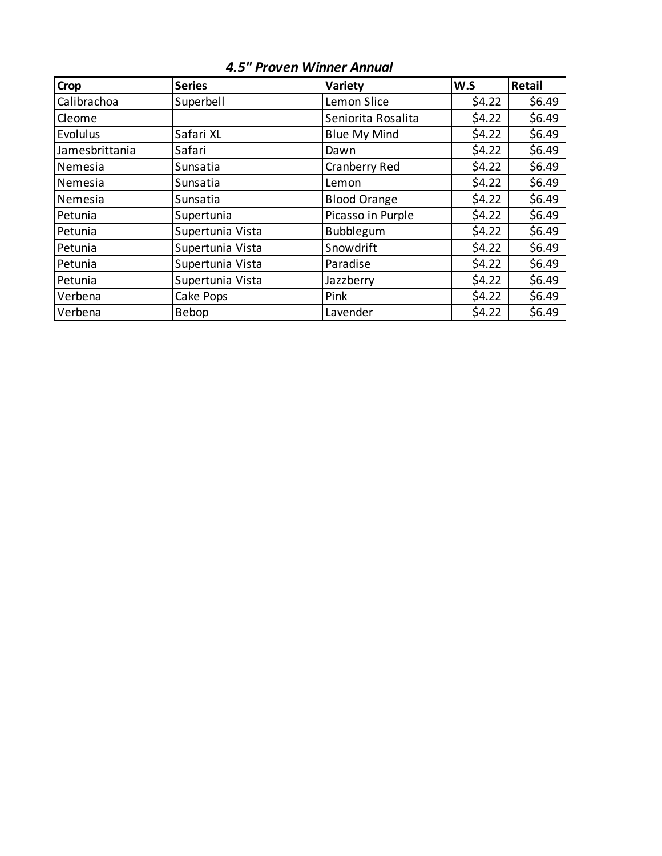| <b>Crop</b>    | <b>Series</b>    | Variety             | W.S    | <b>Retail</b> |
|----------------|------------------|---------------------|--------|---------------|
| Calibrachoa    | Superbell        | Lemon Slice         | \$4.22 | \$6.49        |
| Cleome         |                  | Seniorita Rosalita  | \$4.22 | \$6.49        |
| Evolulus       | Safari XL        | <b>Blue My Mind</b> | \$4.22 | \$6.49        |
| Jamesbrittania | Safari           | Dawn                | \$4.22 | \$6.49        |
| Nemesia        | Sunsatia         | Cranberry Red       | \$4.22 | \$6.49        |
| Nemesia        | Sunsatia         | Lemon               | \$4.22 | \$6.49        |
| Nemesia        | Sunsatia         | <b>Blood Orange</b> | \$4.22 | \$6.49        |
| Petunia        | Supertunia       | Picasso in Purple   | \$4.22 | \$6.49        |
| Petunia        | Supertunia Vista | Bubblegum           | \$4.22 | \$6.49        |
| Petunia        | Supertunia Vista | Snowdrift           | \$4.22 | \$6.49        |
| Petunia        | Supertunia Vista | Paradise            | \$4.22 | \$6.49        |
| Petunia        | Supertunia Vista | Jazzberry           | \$4.22 | \$6.49        |
| Verbena        | Cake Pops        | Pink                | \$4.22 | \$6.49        |
| Verbena        | Bebop            | Lavender            | \$4.22 | \$6.49        |

*4.5" Proven Winner Annual*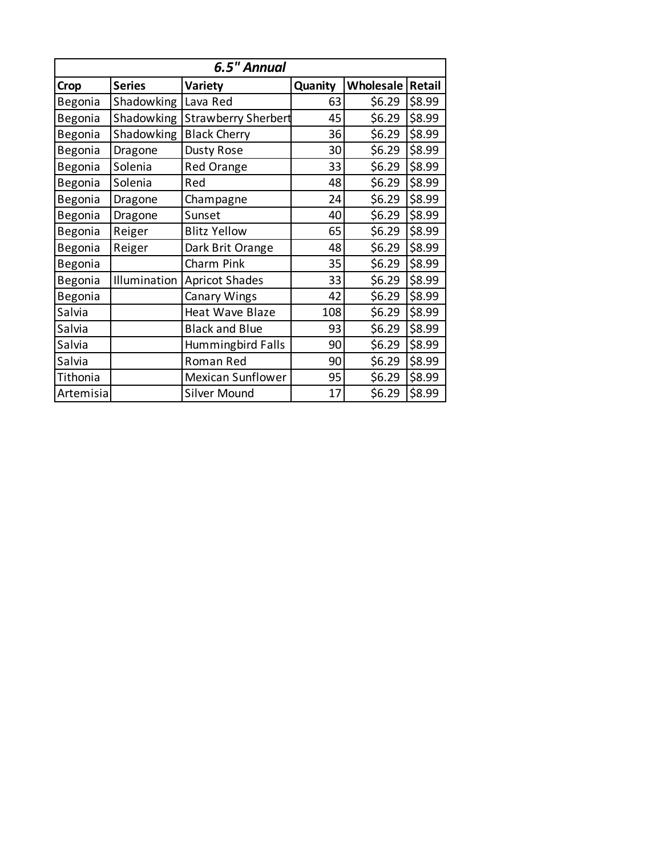| 6.5" Annual |               |                            |         |           |        |
|-------------|---------------|----------------------------|---------|-----------|--------|
| Crop        | <b>Series</b> | Variety                    | Quanity | Wholesale | Retail |
| Begonia     | Shadowking    | Lava Red                   | 63      | \$6.29    | \$8.99 |
| Begonia     | Shadowking    | <b>Strawberry Sherbert</b> | 45      | \$6.29    | \$8.99 |
| Begonia     | Shadowking    | <b>Black Cherry</b>        | 36      | \$6.29    | \$8.99 |
| Begonia     | Dragone       | Dusty Rose                 | 30      | \$6.29    | \$8.99 |
| Begonia     | Solenia       | <b>Red Orange</b>          | 33      | \$6.29    | \$8.99 |
| Begonia     | Solenia       | Red                        | 48      | \$6.29    | \$8.99 |
| Begonia     | Dragone       | Champagne                  | 24      | \$6.29    | \$8.99 |
| Begonia     | Dragone       | Sunset                     | 40      | \$6.29    | \$8.99 |
| Begonia     | Reiger        | <b>Blitz Yellow</b>        | 65      | \$6.29    | \$8.99 |
| Begonia     | Reiger        | Dark Brit Orange           | 48      | \$6.29    | \$8.99 |
| Begonia     |               | Charm Pink                 | 35      | \$6.29    | \$8.99 |
| Begonia     | Illumination  | <b>Apricot Shades</b>      | 33      | \$6.29    | \$8.99 |
| Begonia     |               | Canary Wings               | 42      | \$6.29    | \$8.99 |
| Salvia      |               | Heat Wave Blaze            | 108     | \$6.29    | \$8.99 |
| Salvia      |               | <b>Black and Blue</b>      | 93      | \$6.29    | \$8.99 |
| Salvia      |               | Hummingbird Falls          | 90      | \$6.29    | \$8.99 |
| Salvia      |               | Roman Red                  | 90      | \$6.29    | \$8.99 |
| Tithonia    |               | <b>Mexican Sunflower</b>   | 95      | \$6.29    | \$8.99 |
| Artemisia   |               | <b>Silver Mound</b>        | 17      | \$6.29    | \$8.99 |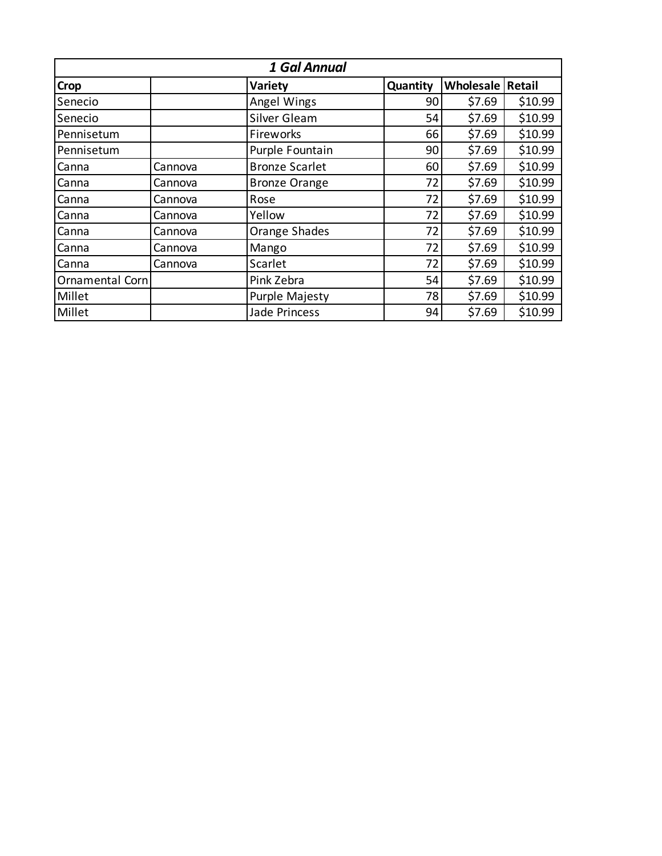| 1 Gal Annual    |         |                       |          |                  |         |
|-----------------|---------|-----------------------|----------|------------------|---------|
| Crop            |         | Variety               | Quantity | Wholesale Retail |         |
| Senecio         |         | Angel Wings           | 90       | \$7.69           | \$10.99 |
| Senecio         |         | Silver Gleam          | 54       | \$7.69           | \$10.99 |
| Pennisetum      |         | Fireworks             | 66       | \$7.69           | \$10.99 |
| Pennisetum      |         | Purple Fountain       | 90       | \$7.69           | \$10.99 |
| Canna           | Cannova | <b>Bronze Scarlet</b> | 60       | \$7.69           | \$10.99 |
| Canna           | Cannova | <b>Bronze Orange</b>  | 72       | \$7.69           | \$10.99 |
| Canna           | Cannova | Rose                  | 72       | \$7.69           | \$10.99 |
| Canna           | Cannova | Yellow                | 72       | \$7.69           | \$10.99 |
| Canna           | Cannova | Orange Shades         | 72       | \$7.69           | \$10.99 |
| Canna           | Cannova | Mango                 | 72       | \$7.69           | \$10.99 |
| Canna           | Cannova | Scarlet               | 72       | \$7.69           | \$10.99 |
| Ornamental Corn |         | Pink Zebra            | 54       | \$7.69           | \$10.99 |
| Millet          |         | <b>Purple Majesty</b> | 78       | \$7.69           | \$10.99 |
| Millet          |         | <b>Jade Princess</b>  | 94       | \$7.69           | \$10.99 |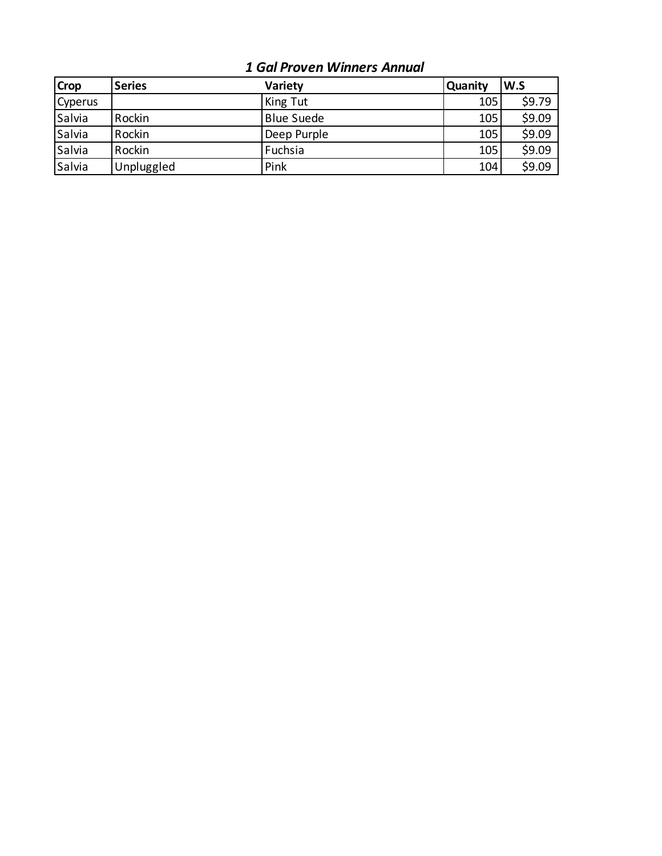## *1 Gal Proven Winners Annual*

| <b>Crop</b>    | <b>Series</b> | <b>Variety</b>    | <b>Quanity</b> | W.S    |
|----------------|---------------|-------------------|----------------|--------|
| <b>Cyperus</b> |               | King Tut          | 105            | \$9.79 |
| Salvia         | Rockin        | <b>Blue Suede</b> | 105            | \$9.09 |
| Salvia         | Rockin        | Deep Purple       | 105            | \$9.09 |
| Salvia         | Rockin        | Fuchsia           | 105            | \$9.09 |
| Salvia         | Unpluggled    | Pink              | 104            | \$9.09 |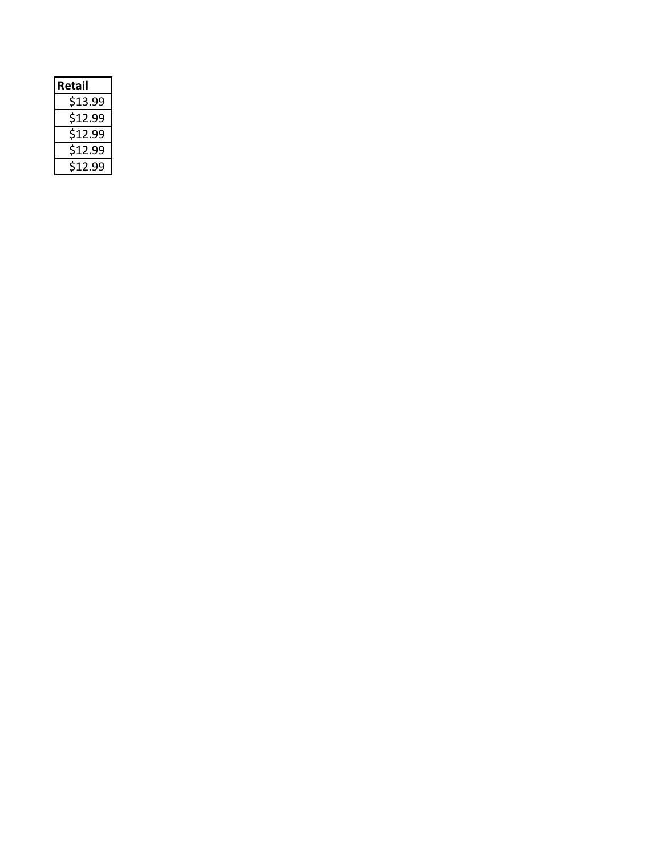| Retail  |  |
|---------|--|
| \$13.99 |  |
| \$12.99 |  |
| \$12.99 |  |
| \$12.99 |  |
| \$12.99 |  |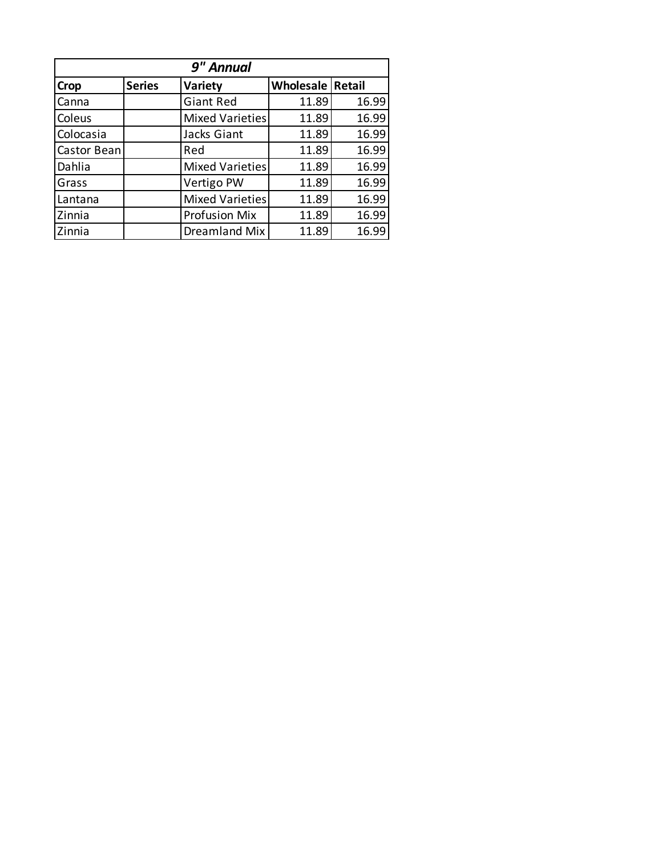| 9" Annual   |               |                      |                           |       |  |
|-------------|---------------|----------------------|---------------------------|-------|--|
| <b>Crop</b> | <b>Series</b> | Variety              | <b>Wholesale   Retail</b> |       |  |
| Canna       |               | <b>Giant Red</b>     | 11.89                     | 16.99 |  |
| Coleus      |               | Mixed Varieties      | 11.89                     | 16.99 |  |
| Colocasia   |               | Jacks Giant          | 11.89                     | 16.99 |  |
| Castor Bean |               | Red                  | 11.89                     | 16.99 |  |
| Dahlia      |               | Mixed Varieties      | 11.89                     | 16.99 |  |
| Grass       |               | Vertigo PW           | 11.89                     | 16.99 |  |
| Lantana     |               | Mixed Varieties      | 11.89                     | 16.99 |  |
| Zinnia      |               | <b>Profusion Mix</b> | 11.89                     | 16.99 |  |
| Zinnia      |               | Dreamland Mix        | 11.89                     | 16.99 |  |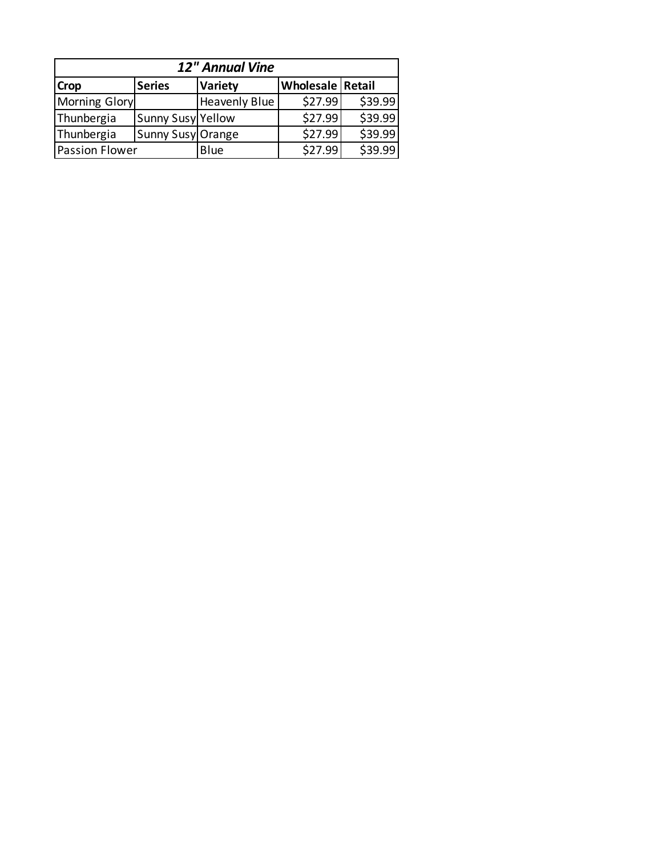| 12" Annual Vine       |                   |                      |                         |         |  |  |
|-----------------------|-------------------|----------------------|-------------------------|---------|--|--|
| <b>Crop</b>           | <b>Series</b>     | <b>Variety</b>       | <b>Wholesale Retail</b> |         |  |  |
| <b>Morning Glory</b>  |                   | <b>Heavenly Blue</b> | \$27.99                 | \$39.99 |  |  |
| Thunbergia            | Sunny Susy Yellow |                      | \$27.99                 | \$39.99 |  |  |
| Thunbergia            | Sunny Susy Orange |                      | \$27.99                 | \$39.99 |  |  |
| <b>Passion Flower</b> |                   | Blue                 | \$27.99                 | \$39.99 |  |  |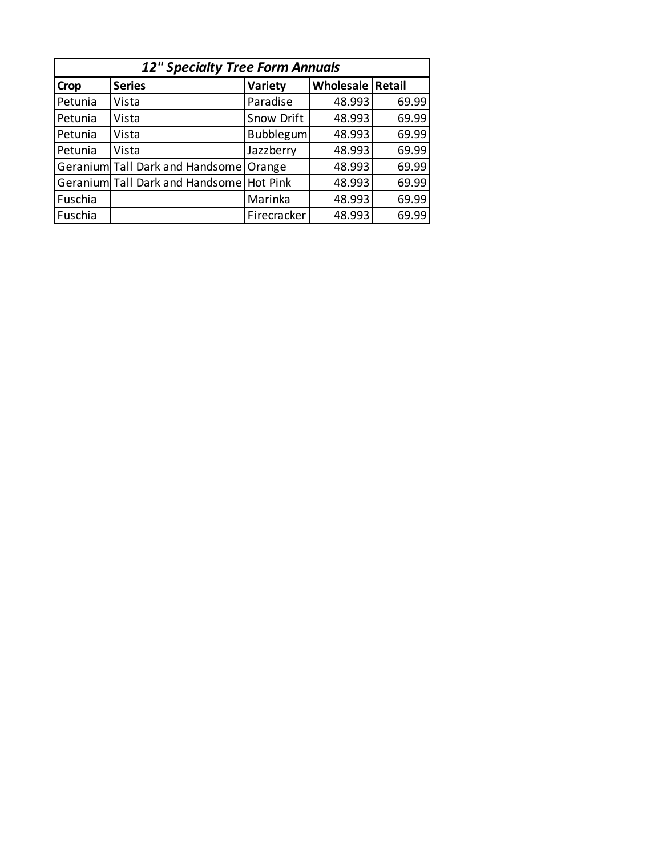| <b>12" Specialty Tree Form Annuals</b> |                                 |                  |                         |       |  |  |
|----------------------------------------|---------------------------------|------------------|-------------------------|-------|--|--|
| Crop                                   | <b>Series</b>                   | Variety          | <b>Wholesale Retail</b> |       |  |  |
| Petunia                                | Vista                           | Paradise         | 48.993                  | 69.99 |  |  |
| Petunia                                | Vista                           | Snow Drift       | 48.993                  | 69.99 |  |  |
| Petunia                                | Vista                           | <b>Bubblegum</b> | 48.993                  | 69.99 |  |  |
| Petunia                                | Vista                           | Jazzberry        | 48.993                  | 69.99 |  |  |
|                                        | Geranium Tall Dark and Handsome | Orange           | 48.993                  | 69.99 |  |  |
|                                        | Geranium Tall Dark and Handsome | Hot Pink         | 48.993                  | 69.99 |  |  |
| Fuschia                                |                                 | Marinka          | 48.993                  | 69.99 |  |  |
| Fuschia                                |                                 | Firecracker      | 48.993                  | 69.99 |  |  |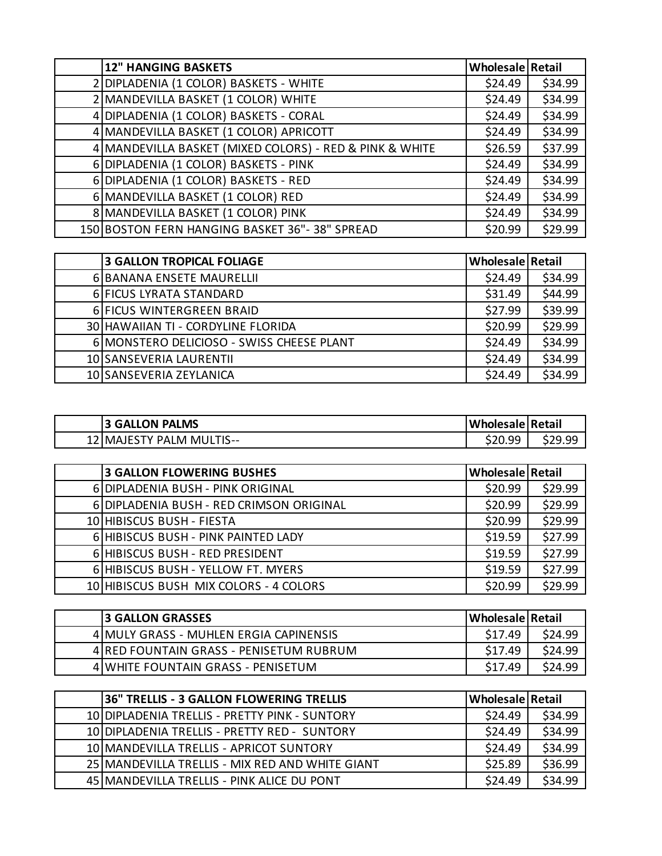| <b>12" HANGING BASKETS</b>                              | Wholesale Retail |         |
|---------------------------------------------------------|------------------|---------|
| DIPLADENIA (1 COLOR) BASKETS - WHITE                    | \$24.49          | \$34.99 |
| 2 MANDEVILLA BASKET (1 COLOR) WHITE                     | \$24.49          | \$34.99 |
| 4 DIPLADENIA (1 COLOR) BASKETS - CORAL                  | \$24.49          | \$34.99 |
| 4 MANDEVILLA BASKET (1 COLOR) APRICOTT                  | \$24.49          | \$34.99 |
| 4 MANDEVILLA BASKET (MIXED COLORS) - RED & PINK & WHITE | \$26.59          | \$37.99 |
| 6 DIPLADENIA (1 COLOR) BASKETS - PINK                   | \$24.49          | \$34.99 |
| 6 DIPLADENIA (1 COLOR) BASKETS - RED                    | \$24.49          | \$34.99 |
| 6 MANDEVILLA BASKET (1 COLOR) RED                       | \$24.49          | \$34.99 |
| 8 MANDEVILLA BASKET (1 COLOR) PINK                      | \$24.49          | \$34.99 |
| 150 BOSTON FERN HANGING BASKET 36"-38" SPREAD           | \$20.99          | \$29.99 |

| <b>3 GALLON TROPICAL FOLIAGE</b>          | <b>Wholesale Retail</b> |         |
|-------------------------------------------|-------------------------|---------|
| 6 BANANA ENSETE MAURELLII                 | \$24.49                 | \$34.99 |
| 6 FICUS LYRATA STANDARD                   | \$31.49                 | \$44.99 |
| 6 FICUS WINTERGREEN BRAID                 | \$27.99                 | \$39.99 |
| 30 HAWAIIAN TI - CORDYLINE FLORIDA        | \$20.99                 | \$29.99 |
| 6 MONSTERO DELICIOSO - SWISS CHEESE PLANT | \$24.49                 | \$34.99 |
| 10 SANSEVERIA LAURENTII                   | \$24.49                 | \$34.99 |
| 10 SANSEVERIA ZEYLANICA                   | \$24.49                 | \$34.99 |

| <b>3 GALLON PALMS</b>    | Wholesale Retail |  |
|--------------------------|------------------|--|
| 12 MAJESTY PALM MULTIS-- | \$20.99          |  |

| <b>3 GALLON FLOWERING BUSHES</b>         | <b>Wholesale Retail</b> |         |
|------------------------------------------|-------------------------|---------|
| 6 DIPLADENIA BUSH - PINK ORIGINAL        | \$20.99                 | \$29.99 |
| 6 DIPLADENIA BUSH - RED CRIMSON ORIGINAL | \$20.99                 | \$29.99 |
| 10 HIBISCUS BUSH - FIESTA                | \$20.99                 | \$29.99 |
| 6 HIBISCUS BUSH - PINK PAINTED LADY      | \$19.59                 | \$27.99 |
| 6 HIBISCUS BUSH - RED PRESIDENT          | \$19.59                 | \$27.99 |
| 6 HIBISCUS BUSH - YELLOW FT. MYERS       | \$19.59                 | \$27.99 |
| 10 HIBISCUS BUSH MIX COLORS - 4 COLORS   | \$20.99                 | \$29.99 |

| <b>13 GALLON GRASSES</b>                | Wholesale   Retail |         |
|-----------------------------------------|--------------------|---------|
| 4 MULY GRASS - MUHLEN ERGIA CAPINENSIS  | S <sub>17.49</sub> | \$24.99 |
| 4 RED FOUNTAIN GRASS - PENISETUM RUBRUM | \$17.49            | \$24.99 |
| 4 WHITE FOUNTAIN GRASS - PENISETUM      | \$17.49            | \$24.99 |

| 36" TRELLIS - 3 GALLON FLOWERING TRELLIS          | <b>Wholesale Retail</b> |         |
|---------------------------------------------------|-------------------------|---------|
| 10 DIPLADENIA TRELLIS - PRETTY PINK - SUNTORY     | \$24.49                 | \$34.99 |
| 10 DIPLADENIA TRELLIS - PRETTY RED - SUNTORY      | \$24.49                 | \$34.99 |
| 10   MANDEVILLA TRELLIS - APRICOT SUNTORY         | \$24.49                 | \$34.99 |
| 25   MANDEVILLA TRELLIS - MIX RED AND WHITE GIANT | \$25.89                 | \$36.99 |
| 45 MANDEVILLA TRELLIS - PINK ALICE DU PONT        | \$24.49                 | \$34.99 |